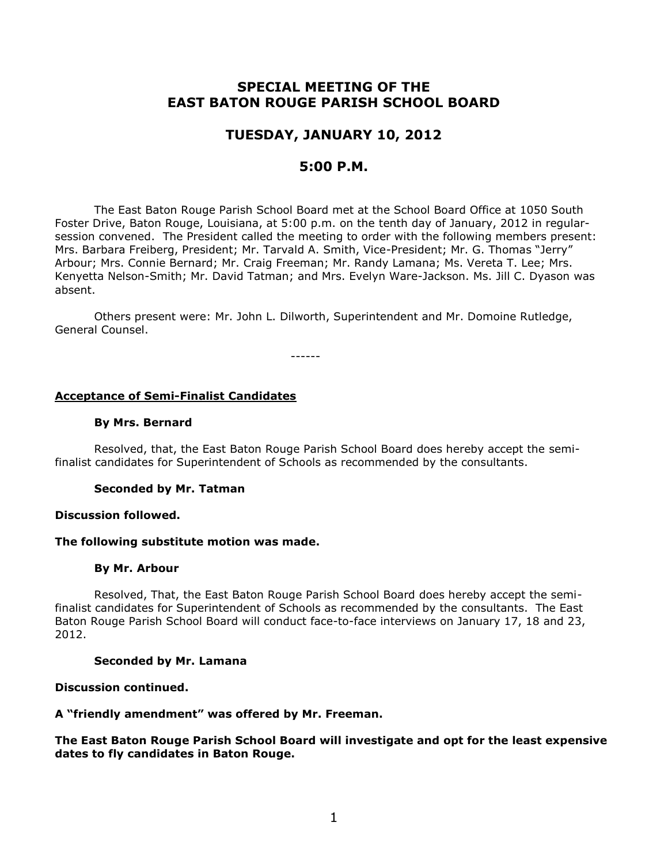# **SPECIAL MEETING OF THE EAST BATON ROUGE PARISH SCHOOL BOARD**

# **TUESDAY, JANUARY 10, 2012**

## **5:00 P.M.**

The East Baton Rouge Parish School Board met at the School Board Office at 1050 South Foster Drive, Baton Rouge, Louisiana, at 5:00 p.m. on the tenth day of January, 2012 in regularsession convened. The President called the meeting to order with the following members present: Mrs. Barbara Freiberg, President; Mr. Tarvald A. Smith, Vice-President; Mr. G. Thomas "Jerry" Arbour; Mrs. Connie Bernard; Mr. Craig Freeman; Mr. Randy Lamana; Ms. Vereta T. Lee; Mrs. Kenyetta Nelson-Smith; Mr. David Tatman; and Mrs. Evelyn Ware-Jackson. Ms. Jill C. Dyason was absent.

Others present were: Mr. John L. Dilworth, Superintendent and Mr. Domoine Rutledge, General Counsel.

------

## **Acceptance of Semi-Finalist Candidates**

#### **By Mrs. Bernard**

Resolved, that, the East Baton Rouge Parish School Board does hereby accept the semifinalist candidates for Superintendent of Schools as recommended by the consultants.

## **Seconded by Mr. Tatman**

#### **Discussion followed.**

#### **The following substitute motion was made.**

#### **By Mr. Arbour**

Resolved, That, the East Baton Rouge Parish School Board does hereby accept the semifinalist candidates for Superintendent of Schools as recommended by the consultants. The East Baton Rouge Parish School Board will conduct face-to-face interviews on January 17, 18 and 23, 2012.

#### **Seconded by Mr. Lamana**

## **Discussion continued.**

## **A "friendly amendment" was offered by Mr. Freeman.**

**The East Baton Rouge Parish School Board will investigate and opt for the least expensive dates to fly candidates in Baton Rouge.**